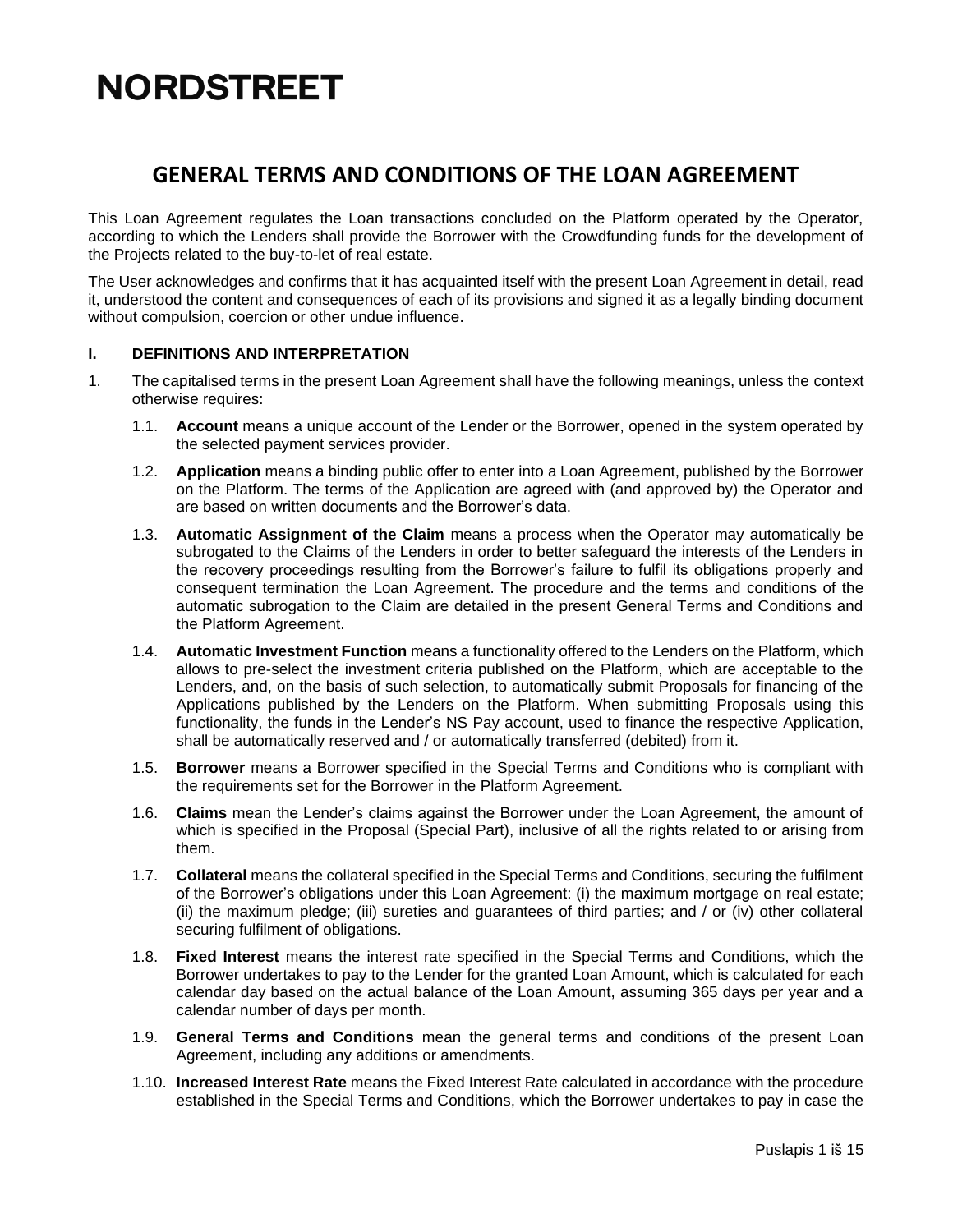# **NORDSTREET**

# **GENERAL TERMS AND CONDITIONS OF THE LOAN AGREEMENT**

This Loan Agreement regulates the Loan transactions concluded on the Platform operated by the Operator, according to which the Lenders shall provide the Borrower with the Crowdfunding funds for the development of the Projects related to the buy-to-let of real estate.

The User acknowledges and confirms that it has acquainted itself with the present Loan Agreement in detail, read it, understood the content and consequences of each of its provisions and signed it as a legally binding document without compulsion, coercion or other undue influence.

#### **I. DEFINITIONS AND INTERPRETATION**

- 1. The capitalised terms in the present Loan Agreement shall have the following meanings, unless the context otherwise requires:
	- 1.1. **Account** means a unique account of the Lender or the Borrower, opened in the system operated by the selected payment services provider.
	- 1.2. **Application** means a binding public offer to enter into a Loan Agreement, published by the Borrower on the Platform. The terms of the Application are agreed with (and approved by) the Operator and are based on written documents and the Borrower's data.
	- 1.3. **Automatic Assignment of the Claim** means a process when the Operator may automatically be subrogated to the Claims of the Lenders in order to better safeguard the interests of the Lenders in the recovery proceedings resulting from the Borrower's failure to fulfil its obligations properly and consequent termination the Loan Agreement. The procedure and the terms and conditions of the automatic subrogation to the Claim are detailed in the present General Terms and Conditions and the Platform Agreement.
	- 1.4. **Automatic Investment Function** means a functionality offered to the Lenders on the Platform, which allows to pre-select the investment criteria published on the Platform, which are acceptable to the Lenders, and, on the basis of such selection, to automatically submit Proposals for financing of the Applications published by the Lenders on the Platform. When submitting Proposals using this functionality, the funds in the Lender's NS Pay account, used to finance the respective Application, shall be automatically reserved and / or automatically transferred (debited) from it.
	- 1.5. **Borrower** means a Borrower specified in the Special Terms and Conditions who is compliant with the requirements set for the Borrower in the Platform Agreement.
	- 1.6. **Claims** mean the Lender's claims against the Borrower under the Loan Agreement, the amount of which is specified in the Proposal (Special Part), inclusive of all the rights related to or arising from them.
	- 1.7. **Collateral** means the collateral specified in the Special Terms and Conditions, securing the fulfilment of the Borrower's obligations under this Loan Agreement: (i) the maximum mortgage on real estate; (ii) the maximum pledge; (iii) sureties and guarantees of third parties; and / or (iv) other collateral securing fulfilment of obligations.
	- 1.8. **Fixed Interest** means the interest rate specified in the Special Terms and Conditions, which the Borrower undertakes to pay to the Lender for the granted Loan Amount, which is calculated for each calendar day based on the actual balance of the Loan Amount, assuming 365 days per year and a calendar number of days per month.
	- 1.9. **General Terms and Conditions** mean the general terms and conditions of the present Loan Agreement, including any additions or amendments.
	- 1.10. **Increased Interest Rate** means the Fixed Interest Rate calculated in accordance with the procedure established in the Special Terms and Conditions, which the Borrower undertakes to pay in case the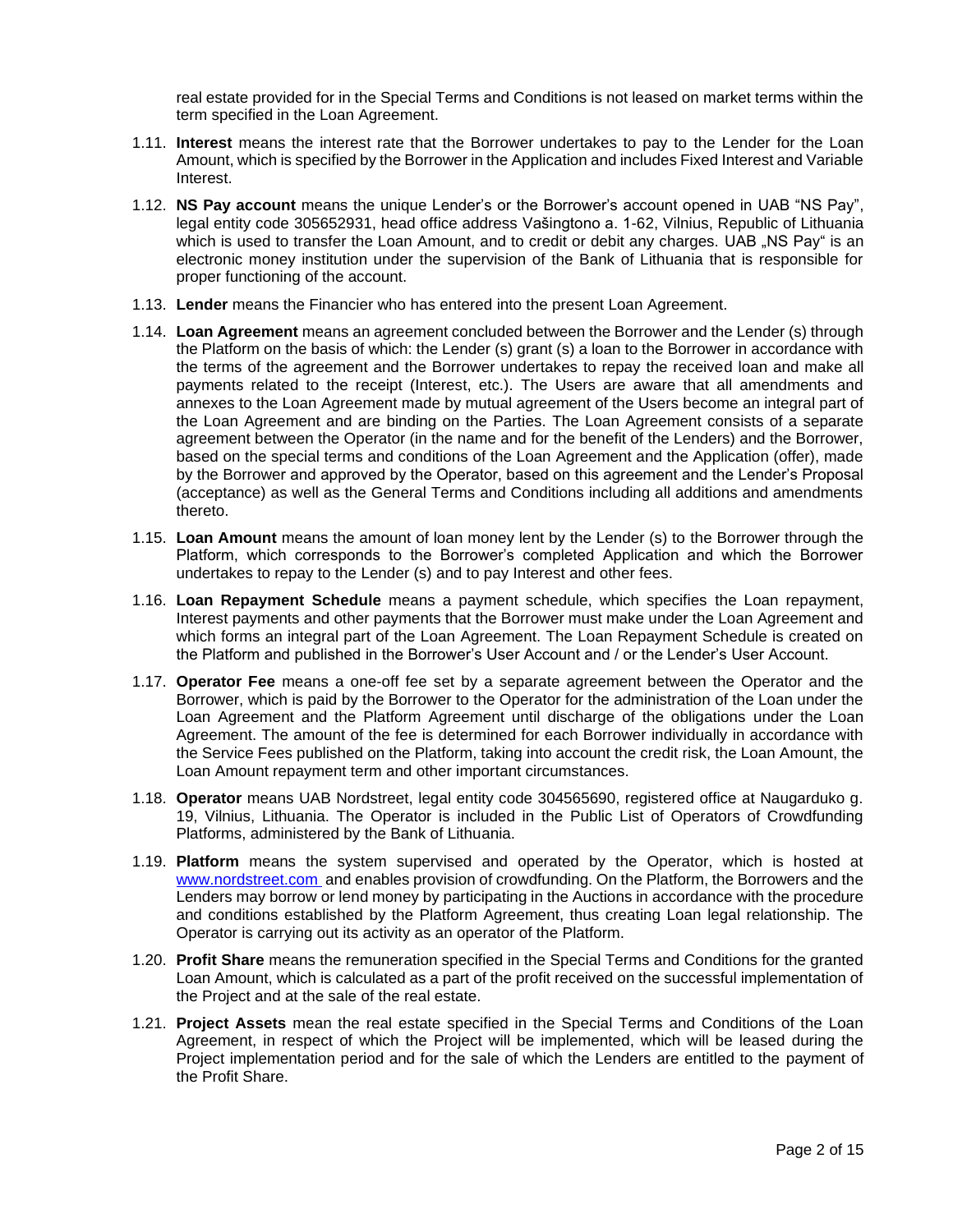real estate provided for in the Special Terms and Conditions is not leased on market terms within the term specified in the Loan Agreement.

- 1.11. **Interest** means the interest rate that the Borrower undertakes to pay to the Lender for the Loan Amount, which is specified by the Borrower in the Application and includes Fixed Interest and Variable Interest.
- 1.12. **NS Pay account** means the unique Lender's or the Borrower's account opened in UAB "NS Pay", legal entity code 305652931, head office address Vašingtono a. 1-62, Vilnius, Republic of Lithuania which is used to transfer the Loan Amount, and to credit or debit any charges. UAB "NS Pay" is an electronic money institution under the supervision of the Bank of Lithuania that is responsible for proper functioning of the account.
- 1.13. **Lender** means the Financier who has entered into the present Loan Agreement.
- 1.14. **Loan Agreement** means an agreement concluded between the Borrower and the Lender (s) through the Platform on the basis of which: the Lender (s) grant (s) a loan to the Borrower in accordance with the terms of the agreement and the Borrower undertakes to repay the received loan and make all payments related to the receipt (Interest, etc.). The Users are aware that all amendments and annexes to the Loan Agreement made by mutual agreement of the Users become an integral part of the Loan Agreement and are binding on the Parties. The Loan Agreement consists of a separate agreement between the Operator (in the name and for the benefit of the Lenders) and the Borrower, based on the special terms and conditions of the Loan Agreement and the Application (offer), made by the Borrower and approved by the Operator, based on this agreement and the Lender's Proposal (acceptance) as well as the General Terms and Conditions including all additions and amendments thereto.
- 1.15. **Loan Amount** means the amount of loan money lent by the Lender (s) to the Borrower through the Platform, which corresponds to the Borrower's completed Application and which the Borrower undertakes to repay to the Lender (s) and to pay Interest and other fees.
- 1.16. **Loan Repayment Schedule** means a payment schedule, which specifies the Loan repayment, Interest payments and other payments that the Borrower must make under the Loan Agreement and which forms an integral part of the Loan Agreement. The Loan Repayment Schedule is created on the Platform and published in the Borrower's User Account and / or the Lender's User Account.
- 1.17. **Operator Fee** means a one-off fee set by a separate agreement between the Operator and the Borrower, which is paid by the Borrower to the Operator for the administration of the Loan under the Loan Agreement and the Platform Agreement until discharge of the obligations under the Loan Agreement. The amount of the fee is determined for each Borrower individually in accordance with the Service Fees published on the Platform, taking into account the credit risk, the Loan Amount, the Loan Amount repayment term and other important circumstances.
- 1.18. **Operator** means UAB Nordstreet, legal entity code 304565690, registered office at Naugarduko g. 19, Vilnius, Lithuania. The Operator is included in the Public List of Operators of Crowdfunding Platforms, administered by the Bank of Lithuania.
- 1.19. **Platform** means the system supervised and operated by the Operator, which is hosted at [www.nordstreet.com](http://www.nordstreet.com/) and enables provision of crowdfunding. On the Platform, the Borrowers and the Lenders may borrow or lend money by participating in the Auctions in accordance with the procedure and conditions established by the Platform Agreement, thus creating Loan legal relationship. The Operator is carrying out its activity as an operator of the Platform.
- 1.20. **Profit Share** means the remuneration specified in the Special Terms and Conditions for the granted Loan Amount, which is calculated as a part of the profit received on the successful implementation of the Project and at the sale of the real estate.
- 1.21. **Project Assets** mean the real estate specified in the Special Terms and Conditions of the Loan Agreement, in respect of which the Project will be implemented, which will be leased during the Project implementation period and for the sale of which the Lenders are entitled to the payment of the Profit Share.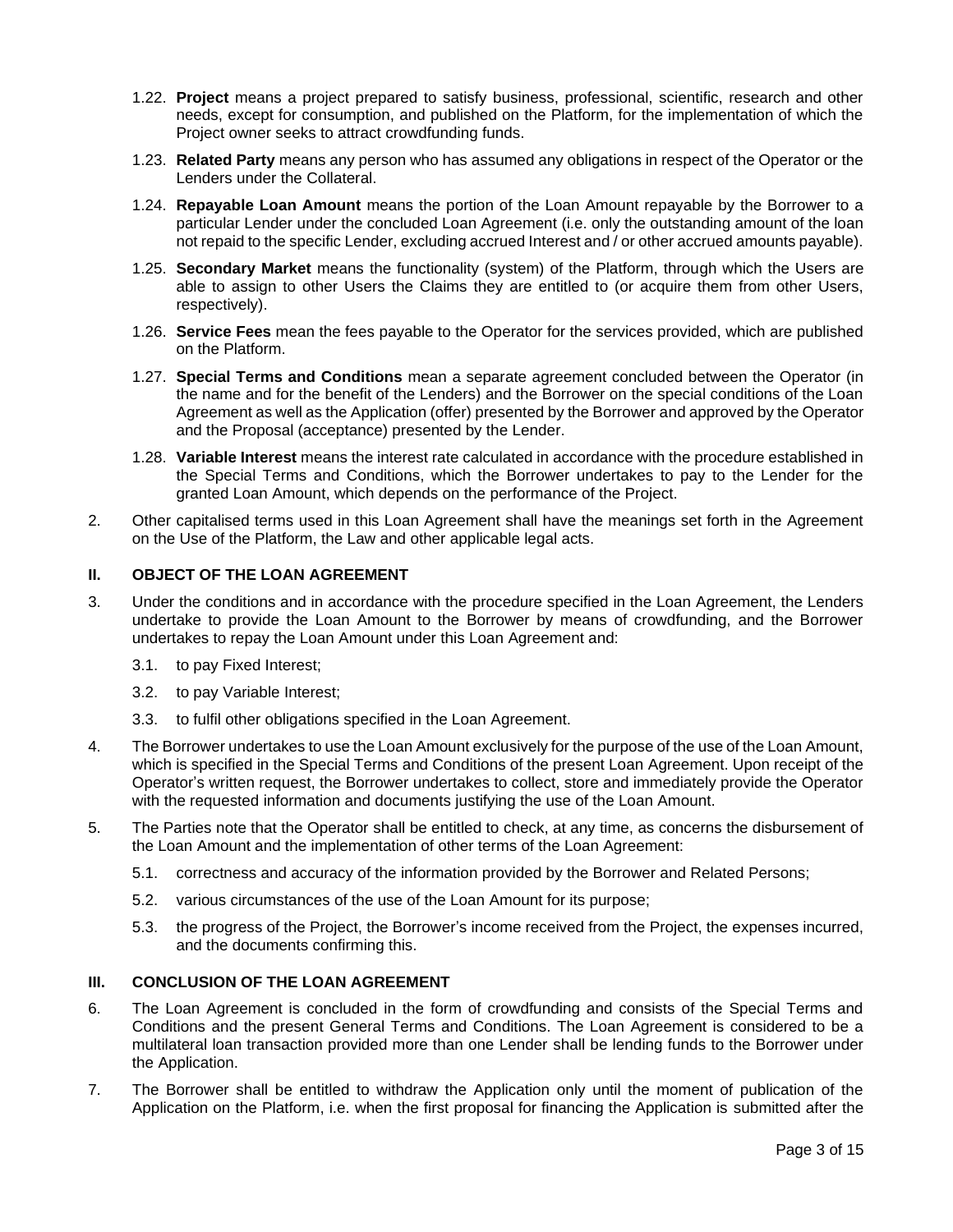- 1.22. **Project** means a project prepared to satisfy business, professional, scientific, research and other needs, except for consumption, and published on the Platform, for the implementation of which the Project owner seeks to attract crowdfunding funds.
- 1.23. **Related Party** means any person who has assumed any obligations in respect of the Operator or the Lenders under the Collateral.
- 1.24. **Repayable Loan Amount** means the portion of the Loan Amount repayable by the Borrower to a particular Lender under the concluded Loan Agreement (i.e. only the outstanding amount of the loan not repaid to the specific Lender, excluding accrued Interest and / or other accrued amounts payable).
- 1.25. **Secondary Market** means the functionality (system) of the Platform, through which the Users are able to assign to other Users the Claims they are entitled to (or acquire them from other Users, respectively).
- 1.26. **Service Fees** mean the fees payable to the Operator for the services provided, which are published on the Platform.
- 1.27. **Special Terms and Conditions** mean a separate agreement concluded between the Operator (in the name and for the benefit of the Lenders) and the Borrower on the special conditions of the Loan Agreement as well as the Application (offer) presented by the Borrower and approved by the Operator and the Proposal (acceptance) presented by the Lender.
- 1.28. **Variable Interest** means the interest rate calculated in accordance with the procedure established in the Special Terms and Conditions, which the Borrower undertakes to pay to the Lender for the granted Loan Amount, which depends on the performance of the Project.
- 2. Other capitalised terms used in this Loan Agreement shall have the meanings set forth in the Agreement on the Use of the Platform, the Law and other applicable legal acts.

#### **II. OBJECT OF THE LOAN AGREEMENT**

- 3. Under the conditions and in accordance with the procedure specified in the Loan Agreement, the Lenders undertake to provide the Loan Amount to the Borrower by means of crowdfunding, and the Borrower undertakes to repay the Loan Amount under this Loan Agreement and:
	- 3.1. to pay Fixed Interest;
	- 3.2. to pay Variable Interest;
	- 3.3. to fulfil other obligations specified in the Loan Agreement.
- 4. The Borrower undertakes to use the Loan Amount exclusively for the purpose of the use of the Loan Amount, which is specified in the Special Terms and Conditions of the present Loan Agreement. Upon receipt of the Operator's written request, the Borrower undertakes to collect, store and immediately provide the Operator with the requested information and documents justifying the use of the Loan Amount.
- 5. The Parties note that the Operator shall be entitled to check, at any time, as concerns the disbursement of the Loan Amount and the implementation of other terms of the Loan Agreement:
	- 5.1. correctness and accuracy of the information provided by the Borrower and Related Persons;
	- 5.2. various circumstances of the use of the Loan Amount for its purpose;
	- 5.3. the progress of the Project, the Borrower's income received from the Project, the expenses incurred, and the documents confirming this.

#### **III. CONCLUSION OF THE LOAN AGREEMENT**

- 6. The Loan Agreement is concluded in the form of crowdfunding and consists of the Special Terms and Conditions and the present General Terms and Conditions. The Loan Agreement is considered to be a multilateral loan transaction provided more than one Lender shall be lending funds to the Borrower under the Application.
- 7. The Borrower shall be entitled to withdraw the Application only until the moment of publication of the Application on the Platform, i.e. when the first proposal for financing the Application is submitted after the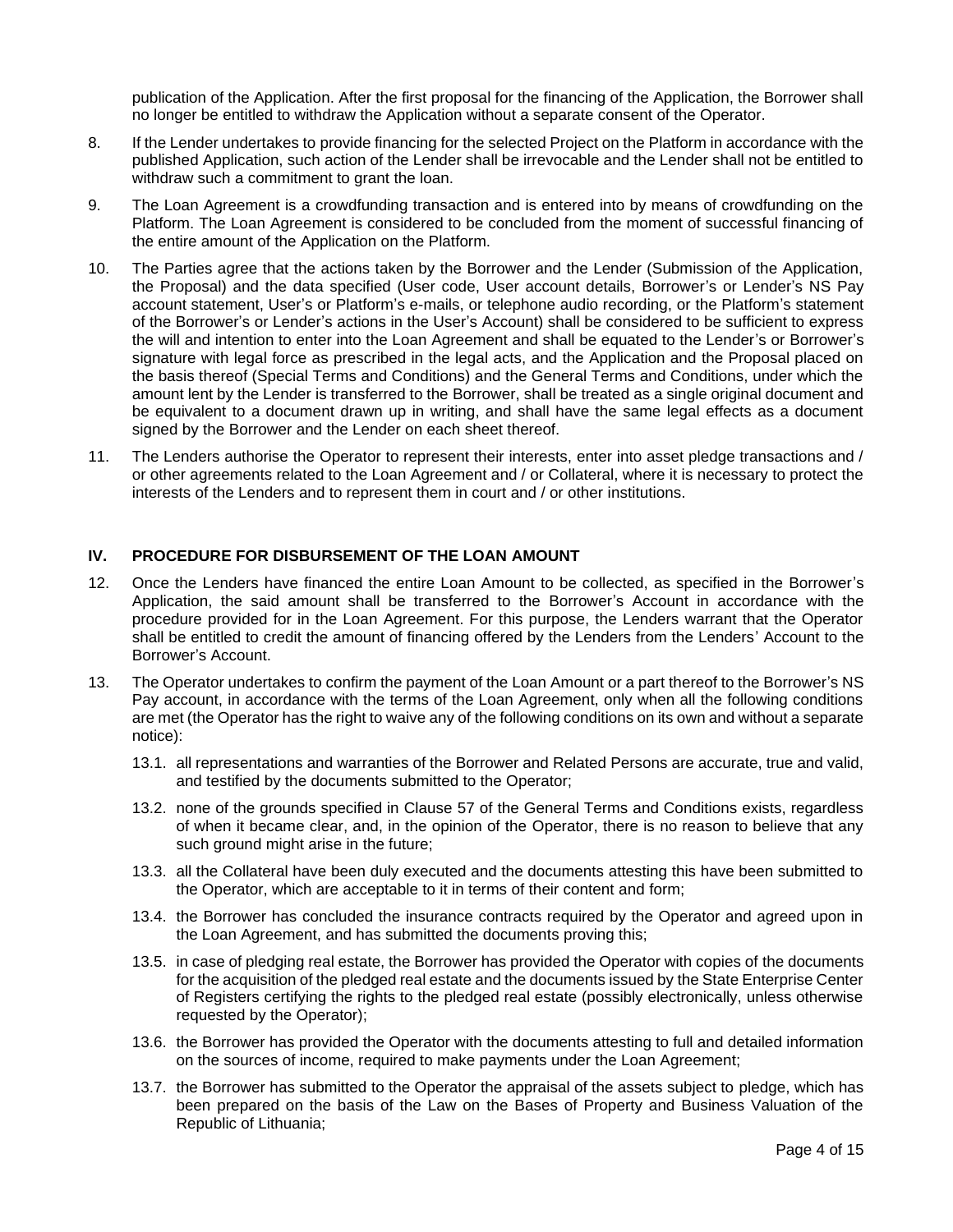publication of the Application. After the first proposal for the financing of the Application, the Borrower shall no longer be entitled to withdraw the Application without a separate consent of the Operator.

- 8. If the Lender undertakes to provide financing for the selected Project on the Platform in accordance with the published Application, such action of the Lender shall be irrevocable and the Lender shall not be entitled to withdraw such a commitment to grant the loan.
- 9. The Loan Agreement is a crowdfunding transaction and is entered into by means of crowdfunding on the Platform. The Loan Agreement is considered to be concluded from the moment of successful financing of the entire amount of the Application on the Platform.
- 10. The Parties agree that the actions taken by the Borrower and the Lender (Submission of the Application, the Proposal) and the data specified (User code, User account details, Borrower's or Lender's NS Pay account statement, User's or Platform's e-mails, or telephone audio recording, or the Platform's statement of the Borrower's or Lender's actions in the User's Account) shall be considered to be sufficient to express the will and intention to enter into the Loan Agreement and shall be equated to the Lender's or Borrower's signature with legal force as prescribed in the legal acts, and the Application and the Proposal placed on the basis thereof (Special Terms and Conditions) and the General Terms and Conditions, under which the amount lent by the Lender is transferred to the Borrower, shall be treated as a single original document and be equivalent to a document drawn up in writing, and shall have the same legal effects as a document signed by the Borrower and the Lender on each sheet thereof.
- 11. The Lenders authorise the Operator to represent their interests, enter into asset pledge transactions and / or other agreements related to the Loan Agreement and / or Collateral, where it is necessary to protect the interests of the Lenders and to represent them in court and / or other institutions.

### **IV. PROCEDURE FOR DISBURSEMENT OF THE LOAN AMOUNT**

- 12. Once the Lenders have financed the entire Loan Amount to be collected, as specified in the Borrower's Application, the said amount shall be transferred to the Borrower's Account in accordance with the procedure provided for in the Loan Agreement. For this purpose, the Lenders warrant that the Operator shall be entitled to credit the amount of financing offered by the Lenders from the Lenders' Account to the Borrower's Account.
- <span id="page-3-0"></span>13. The Operator undertakes to confirm the payment of the Loan Amount or a part thereof to the Borrower's NS Pay account, in accordance with the terms of the Loan Agreement, only when all the following conditions are met (the Operator has the right to waive any of the following conditions on its own and without a separate notice):
	- 13.1. all representations and warranties of the Borrower and Related Persons are accurate, true and valid, and testified by the documents submitted to the Operator;
	- 13.2. none of the grounds specified in Clause [57](#page-10-0) of the General Terms and Conditions exists, regardless of when it became clear, and, in the opinion of the Operator, there is no reason to believe that any such ground might arise in the future;
	- 13.3. all the Collateral have been duly executed and the documents attesting this have been submitted to the Operator, which are acceptable to it in terms of their content and form;
	- 13.4. the Borrower has concluded the insurance contracts required by the Operator and agreed upon in the Loan Agreement, and has submitted the documents proving this;
	- 13.5. in case of pledging real estate, the Borrower has provided the Operator with copies of the documents for the acquisition of the pledged real estate and the documents issued by the State Enterprise Center of Registers certifying the rights to the pledged real estate (possibly electronically, unless otherwise requested by the Operator);
	- 13.6. the Borrower has provided the Operator with the documents attesting to full and detailed information on the sources of income, required to make payments under the Loan Agreement;
	- 13.7. the Borrower has submitted to the Operator the appraisal of the assets subject to pledge, which has been prepared on the basis of the Law on the Bases of Property and Business Valuation of the Republic of Lithuania;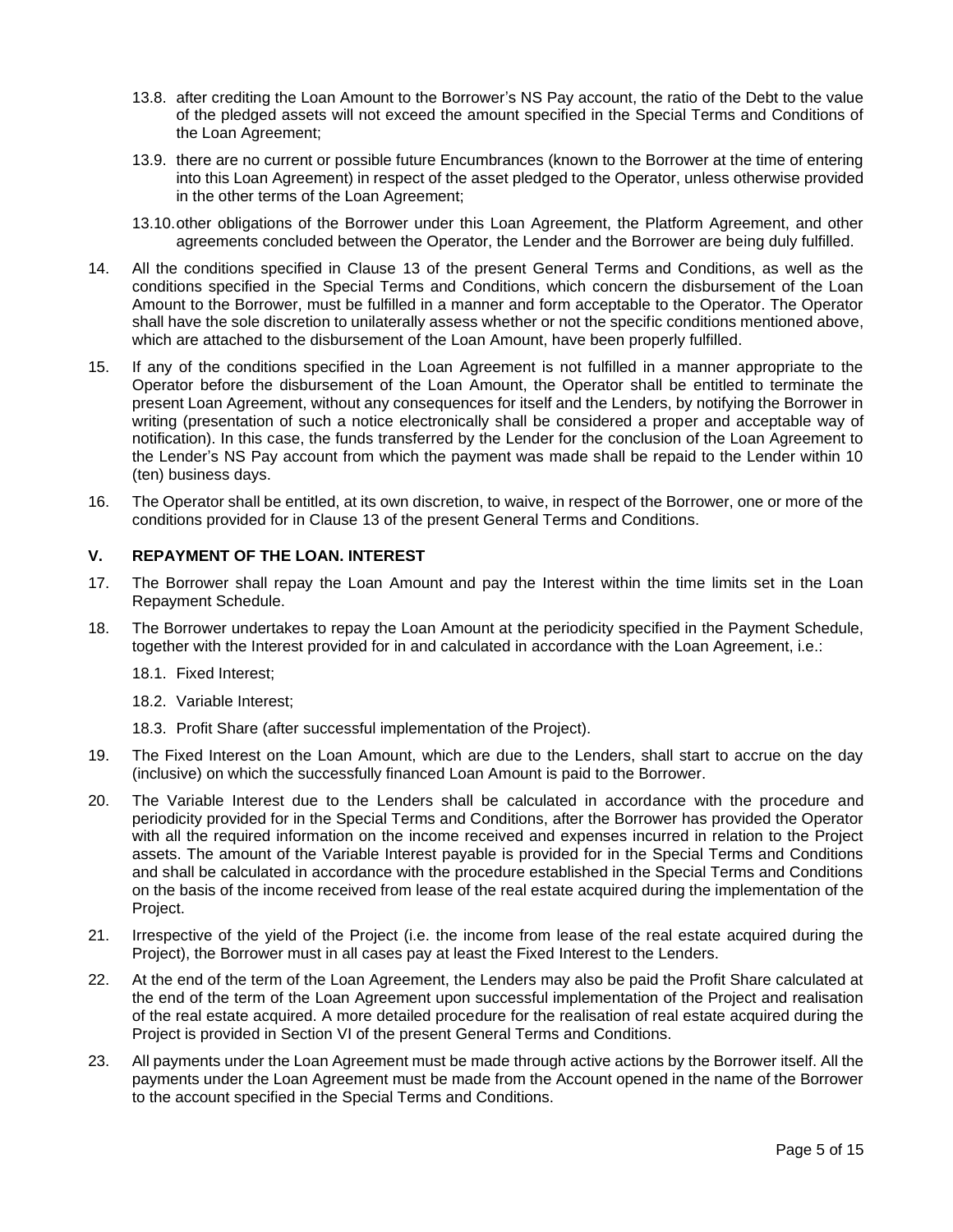- 13.8. after crediting the Loan Amount to the Borrower's NS Pay account, the ratio of the Debt to the value of the pledged assets will not exceed the amount specified in the Special Terms and Conditions of the Loan Agreement;
- 13.9. there are no current or possible future Encumbrances (known to the Borrower at the time of entering into this Loan Agreement) in respect of the asset pledged to the Operator, unless otherwise provided in the other terms of the Loan Agreement;
- 13.10.other obligations of the Borrower under this Loan Agreement, the Platform Agreement, and other agreements concluded between the Operator, the Lender and the Borrower are being duly fulfilled.
- 14. All the conditions specified in Clause [13](#page-3-0) of the present General Terms and Conditions, as well as the conditions specified in the Special Terms and Conditions, which concern the disbursement of the Loan Amount to the Borrower, must be fulfilled in a manner and form acceptable to the Operator. The Operator shall have the sole discretion to unilaterally assess whether or not the specific conditions mentioned above, which are attached to the disbursement of the Loan Amount, have been properly fulfilled.
- 15. If any of the conditions specified in the Loan Agreement is not fulfilled in a manner appropriate to the Operator before the disbursement of the Loan Amount, the Operator shall be entitled to terminate the present Loan Agreement, without any consequences for itself and the Lenders, by notifying the Borrower in writing (presentation of such a notice electronically shall be considered a proper and acceptable way of notification). In this case, the funds transferred by the Lender for the conclusion of the Loan Agreement to the Lender's NS Pay account from which the payment was made shall be repaid to the Lender within 10 (ten) business days.
- 16. The Operator shall be entitled, at its own discretion, to waive, in respect of the Borrower, one or more of the conditions provided for in Clause [13](#page-3-0) of the present General Terms and Conditions.

# **V. REPAYMENT OF THE LOAN. INTEREST**

- 17. The Borrower shall repay the Loan Amount and pay the Interest within the time limits set in the Loan Repayment Schedule.
- 18. The Borrower undertakes to repay the Loan Amount at the periodicity specified in the Payment Schedule, together with the Interest provided for in and calculated in accordance with the Loan Agreement, i.e.:
	- 18.1. Fixed Interest;
	- 18.2. Variable Interest;
	- 18.3. Profit Share (after successful implementation of the Project).
- 19. The Fixed Interest on the Loan Amount, which are due to the Lenders, shall start to accrue on the day (inclusive) on which the successfully financed Loan Amount is paid to the Borrower.
- 20. The Variable Interest due to the Lenders shall be calculated in accordance with the procedure and periodicity provided for in the Special Terms and Conditions, after the Borrower has provided the Operator with all the required information on the income received and expenses incurred in relation to the Project assets. The amount of the Variable Interest payable is provided for in the Special Terms and Conditions and shall be calculated in accordance with the procedure established in the Special Terms and Conditions on the basis of the income received from lease of the real estate acquired during the implementation of the Project.
- 21. Irrespective of the yield of the Project (i.e. the income from lease of the real estate acquired during the Project), the Borrower must in all cases pay at least the Fixed Interest to the Lenders.
- 22. At the end of the term of the Loan Agreement, the Lenders may also be paid the Profit Share calculated at the end of the term of the Loan Agreement upon successful implementation of the Project and realisation of the real estate acquired. A more detailed procedure for the realisation of real estate acquired during the Project is provided in Section [VI](#page-5-0) of the present General Terms and Conditions.
- 23. All payments under the Loan Agreement must be made through active actions by the Borrower itself. All the payments under the Loan Agreement must be made from the Account opened in the name of the Borrower to the account specified in the Special Terms and Conditions.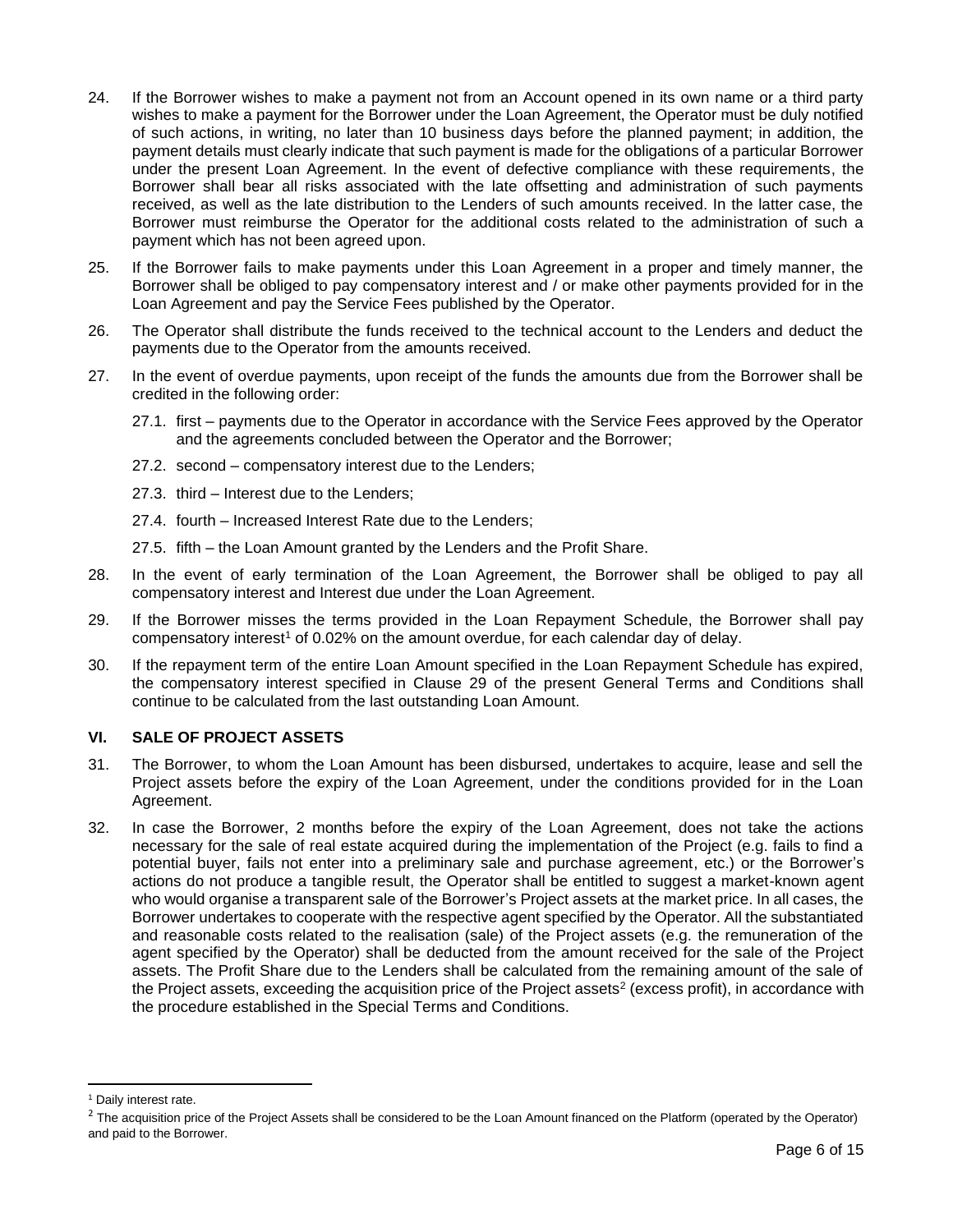- 24. If the Borrower wishes to make a payment not from an Account opened in its own name or a third party wishes to make a payment for the Borrower under the Loan Agreement, the Operator must be duly notified of such actions, in writing, no later than 10 business days before the planned payment; in addition, the payment details must clearly indicate that such payment is made for the obligations of a particular Borrower under the present Loan Agreement. In the event of defective compliance with these requirements, the Borrower shall bear all risks associated with the late offsetting and administration of such payments received, as well as the late distribution to the Lenders of such amounts received. In the latter case, the Borrower must reimburse the Operator for the additional costs related to the administration of such a payment which has not been agreed upon.
- 25. If the Borrower fails to make payments under this Loan Agreement in a proper and timely manner, the Borrower shall be obliged to pay compensatory interest and / or make other payments provided for in the Loan Agreement and pay the Service Fees published by the Operator.
- 26. The Operator shall distribute the funds received to the technical account to the Lenders and deduct the payments due to the Operator from the amounts received.
- 27. In the event of overdue payments, upon receipt of the funds the amounts due from the Borrower shall be credited in the following order:
	- 27.1. first payments due to the Operator in accordance with the Service Fees approved by the Operator and the agreements concluded between the Operator and the Borrower;
	- 27.2. second compensatory interest due to the Lenders;
	- 27.3. third Interest due to the Lenders;
	- 27.4. fourth Increased Interest Rate due to the Lenders;
	- 27.5. fifth the Loan Amount granted by the Lenders and the Profit Share.
- 28. In the event of early termination of the Loan Agreement, the Borrower shall be obliged to pay all compensatory interest and Interest due under the Loan Agreement.
- <span id="page-5-1"></span>29. If the Borrower misses the terms provided in the Loan Repayment Schedule, the Borrower shall pay compensatory interest<sup>1</sup> of 0.02% on the amount overdue, for each calendar day of delay.
- 30. If the repayment term of the entire Loan Amount specified in the Loan Repayment Schedule has expired, the compensatory interest specified in Clause [29](#page-5-1) of the present General Terms and Conditions shall continue to be calculated from the last outstanding Loan Amount.

# <span id="page-5-0"></span>**VI. SALE OF PROJECT ASSETS**

- 31. The Borrower, to whom the Loan Amount has been disbursed, undertakes to acquire, lease and sell the Project assets before the expiry of the Loan Agreement, under the conditions provided for in the Loan Agreement.
- 32. In case the Borrower, 2 months before the expiry of the Loan Agreement, does not take the actions necessary for the sale of real estate acquired during the implementation of the Project (e.g. fails to find a potential buyer, fails not enter into a preliminary sale and purchase agreement, etc.) or the Borrower's actions do not produce a tangible result, the Operator shall be entitled to suggest a market-known agent who would organise a transparent sale of the Borrower's Project assets at the market price. In all cases, the Borrower undertakes to cooperate with the respective agent specified by the Operator. All the substantiated and reasonable costs related to the realisation (sale) of the Project assets (e.g. the remuneration of the agent specified by the Operator) shall be deducted from the amount received for the sale of the Project assets. The Profit Share due to the Lenders shall be calculated from the remaining amount of the sale of the Project assets, exceeding the acquisition price of the Project assets<sup>2</sup> (excess profit), in accordance with the procedure established in the Special Terms and Conditions.

<sup>&</sup>lt;sup>1</sup> Daily interest rate.

<sup>&</sup>lt;sup>2</sup> The acquisition price of the Project Assets shall be considered to be the Loan Amount financed on the Platform (operated by the Operator) and paid to the Borrower.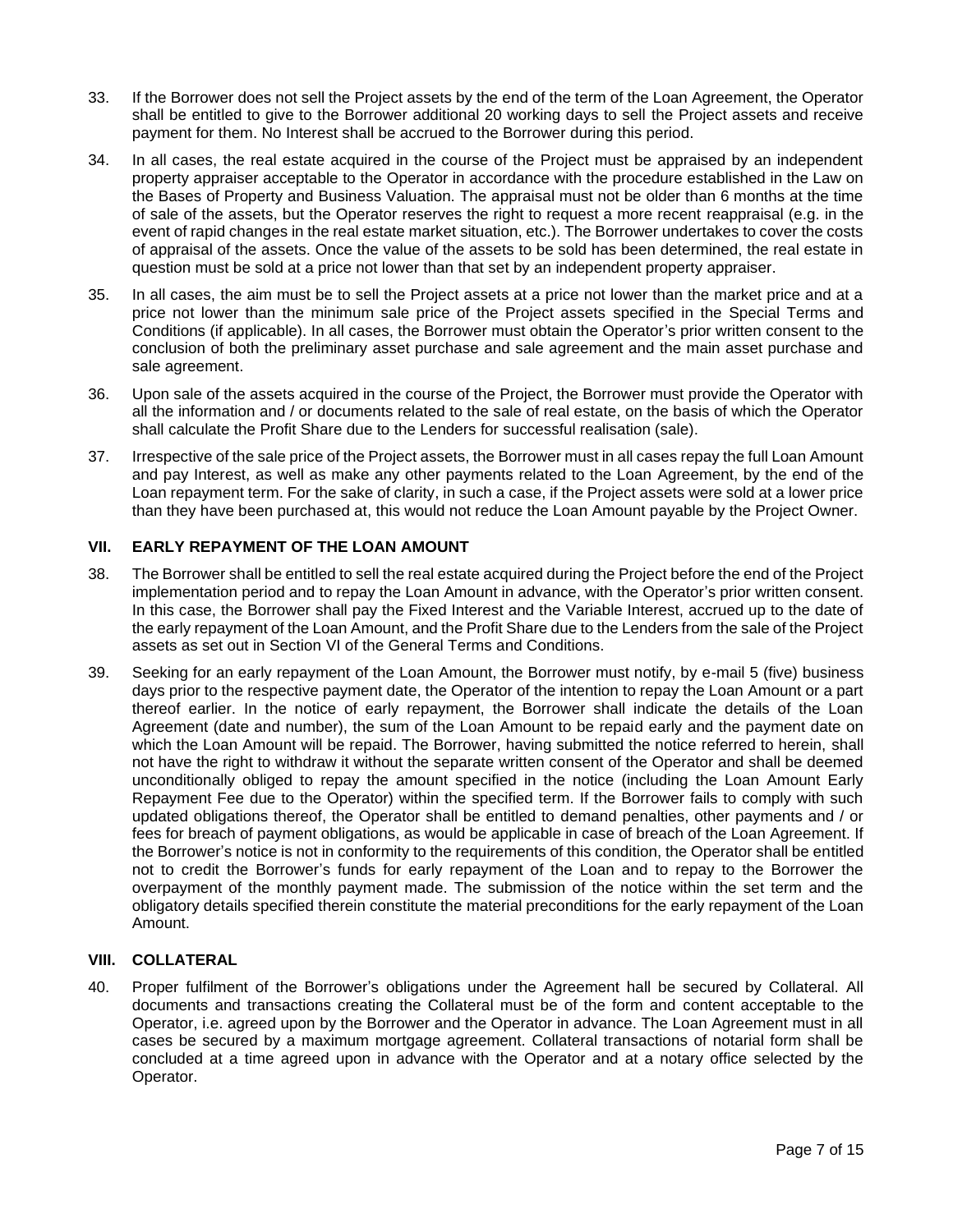- 33. If the Borrower does not sell the Project assets by the end of the term of the Loan Agreement, the Operator shall be entitled to give to the Borrower additional 20 working days to sell the Project assets and receive payment for them. No Interest shall be accrued to the Borrower during this period.
- 34. In all cases, the real estate acquired in the course of the Project must be appraised by an independent property appraiser acceptable to the Operator in accordance with the procedure established in the Law on the Bases of Property and Business Valuation. The appraisal must not be older than 6 months at the time of sale of the assets, but the Operator reserves the right to request a more recent reappraisal (e.g. in the event of rapid changes in the real estate market situation, etc.). The Borrower undertakes to cover the costs of appraisal of the assets. Once the value of the assets to be sold has been determined, the real estate in question must be sold at a price not lower than that set by an independent property appraiser.
- 35. In all cases, the aim must be to sell the Project assets at a price not lower than the market price and at a price not lower than the minimum sale price of the Project assets specified in the Special Terms and Conditions (if applicable). In all cases, the Borrower must obtain the Operator's prior written consent to the conclusion of both the preliminary asset purchase and sale agreement and the main asset purchase and sale agreement.
- 36. Upon sale of the assets acquired in the course of the Project, the Borrower must provide the Operator with all the information and / or documents related to the sale of real estate, on the basis of which the Operator shall calculate the Profit Share due to the Lenders for successful realisation (sale).
- 37. Irrespective of the sale price of the Project assets, the Borrower must in all cases repay the full Loan Amount and pay Interest, as well as make any other payments related to the Loan Agreement, by the end of the Loan repayment term. For the sake of clarity, in such a case, if the Project assets were sold at a lower price than they have been purchased at, this would not reduce the Loan Amount payable by the Project Owner.

# **VII. EARLY REPAYMENT OF THE LOAN AMOUNT**

- 38. The Borrower shall be entitled to sell the real estate acquired during the Project before the end of the Project implementation period and to repay the Loan Amount in advance, with the Operator's prior written consent. In this case, the Borrower shall pay the Fixed Interest and the Variable Interest, accrued up to the date of the early repayment of the Loan Amount, and the Profit Share due to the Lenders from the sale of the Project assets as set out in Section [VI](#page-5-0) of the General Terms and Conditions.
- 39. Seeking for an early repayment of the Loan Amount, the Borrower must notify, by e-mail 5 (five) business days prior to the respective payment date, the Operator of the intention to repay the Loan Amount or a part thereof earlier. In the notice of early repayment, the Borrower shall indicate the details of the Loan Agreement (date and number), the sum of the Loan Amount to be repaid early and the payment date on which the Loan Amount will be repaid. The Borrower, having submitted the notice referred to herein, shall not have the right to withdraw it without the separate written consent of the Operator and shall be deemed unconditionally obliged to repay the amount specified in the notice (including the Loan Amount Early Repayment Fee due to the Operator) within the specified term. If the Borrower fails to comply with such updated obligations thereof, the Operator shall be entitled to demand penalties, other payments and / or fees for breach of payment obligations, as would be applicable in case of breach of the Loan Agreement. If the Borrower's notice is not in conformity to the requirements of this condition, the Operator shall be entitled not to credit the Borrower's funds for early repayment of the Loan and to repay to the Borrower the overpayment of the monthly payment made. The submission of the notice within the set term and the obligatory details specified therein constitute the material preconditions for the early repayment of the Loan Amount.

# **VIII. COLLATERAL**

40. Proper fulfilment of the Borrower's obligations under the Agreement hall be secured by Collateral. All documents and transactions creating the Collateral must be of the form and content acceptable to the Operator, i.e. agreed upon by the Borrower and the Operator in advance. The Loan Agreement must in all cases be secured by a maximum mortgage agreement. Collateral transactions of notarial form shall be concluded at a time agreed upon in advance with the Operator and at a notary office selected by the Operator.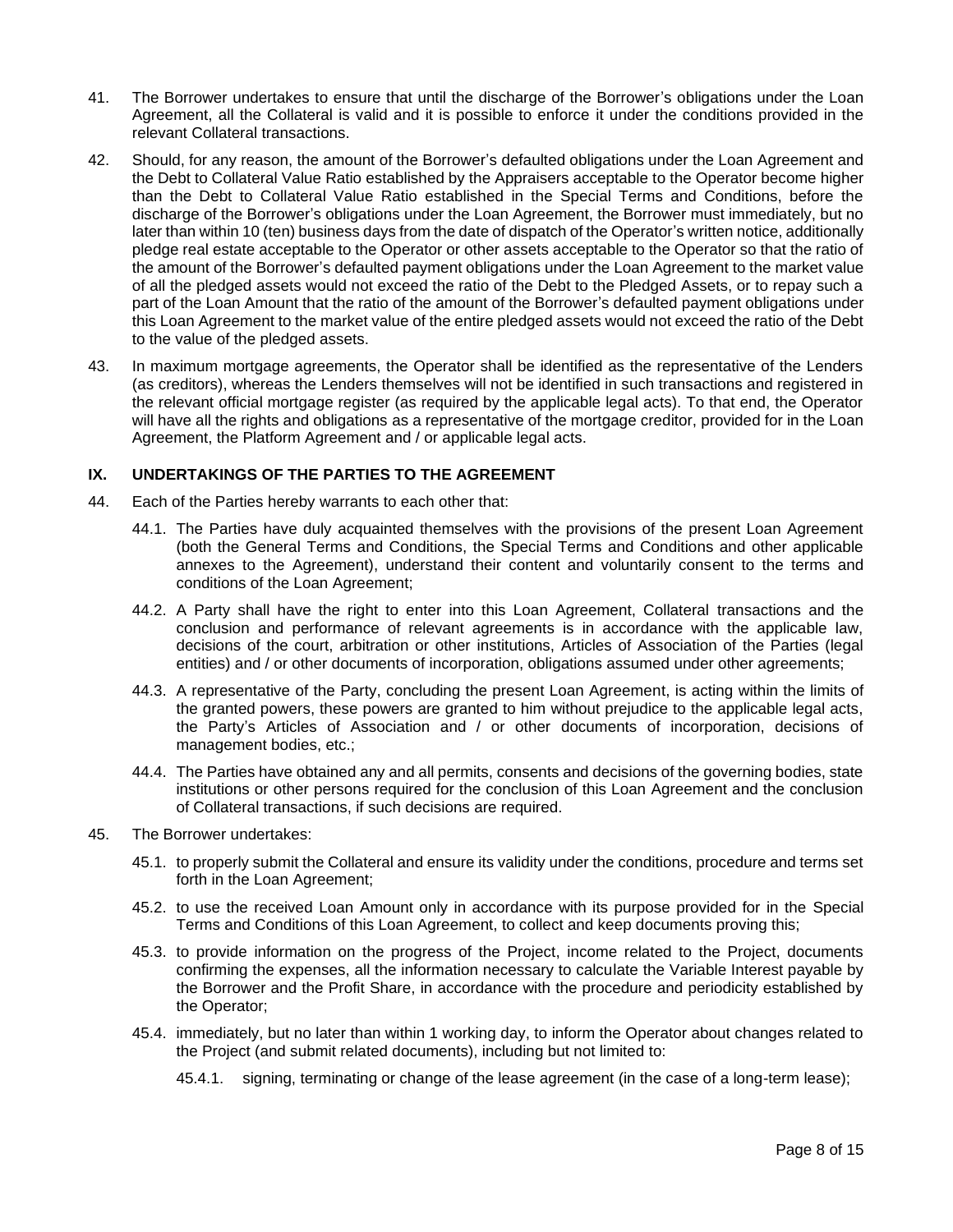- 41. The Borrower undertakes to ensure that until the discharge of the Borrower's obligations under the Loan Agreement, all the Collateral is valid and it is possible to enforce it under the conditions provided in the relevant Collateral transactions.
- <span id="page-7-1"></span>42. Should, for any reason, the amount of the Borrower's defaulted obligations under the Loan Agreement and the Debt to Collateral Value Ratio established by the Appraisers acceptable to the Operator become higher than the Debt to Collateral Value Ratio established in the Special Terms and Conditions, before the discharge of the Borrower's obligations under the Loan Agreement, the Borrower must immediately, but no later than within 10 (ten) business days from the date of dispatch of the Operator's written notice, additionally pledge real estate acceptable to the Operator or other assets acceptable to the Operator so that the ratio of the amount of the Borrower's defaulted payment obligations under the Loan Agreement to the market value of all the pledged assets would not exceed the ratio of the Debt to the Pledged Assets, or to repay such a part of the Loan Amount that the ratio of the amount of the Borrower's defaulted payment obligations under this Loan Agreement to the market value of the entire pledged assets would not exceed the ratio of the Debt to the value of the pledged assets.
- 43. In maximum mortgage agreements, the Operator shall be identified as the representative of the Lenders (as creditors), whereas the Lenders themselves will not be identified in such transactions and registered in the relevant official mortgage register (as required by the applicable legal acts). To that end, the Operator will have all the rights and obligations as a representative of the mortgage creditor, provided for in the Loan Agreement, the Platform Agreement and / or applicable legal acts.

# **IX. UNDERTAKINGS OF THE PARTIES TO THE AGREEMENT**

- <span id="page-7-2"></span>44. Each of the Parties hereby warrants to each other that:
	- 44.1. The Parties have duly acquainted themselves with the provisions of the present Loan Agreement (both the General Terms and Conditions, the Special Terms and Conditions and other applicable annexes to the Agreement), understand their content and voluntarily consent to the terms and conditions of the Loan Agreement;
	- 44.2. A Party shall have the right to enter into this Loan Agreement, Collateral transactions and the conclusion and performance of relevant agreements is in accordance with the applicable law, decisions of the court, arbitration or other institutions, Articles of Association of the Parties (legal entities) and / or other documents of incorporation, obligations assumed under other agreements;
	- 44.3. A representative of the Party, concluding the present Loan Agreement, is acting within the limits of the granted powers, these powers are granted to him without prejudice to the applicable legal acts, the Party's Articles of Association and / or other documents of incorporation, decisions of management bodies, etc.;
	- 44.4. The Parties have obtained any and all permits, consents and decisions of the governing bodies, state institutions or other persons required for the conclusion of this Loan Agreement and the conclusion of Collateral transactions, if such decisions are required.
- <span id="page-7-0"></span>45. The Borrower undertakes:
	- 45.1. to properly submit the Collateral and ensure its validity under the conditions, procedure and terms set forth in the Loan Agreement;
	- 45.2. to use the received Loan Amount only in accordance with its purpose provided for in the Special Terms and Conditions of this Loan Agreement, to collect and keep documents proving this;
	- 45.3. to provide information on the progress of the Project, income related to the Project, documents confirming the expenses, all the information necessary to calculate the Variable Interest payable by the Borrower and the Profit Share, in accordance with the procedure and periodicity established by the Operator;
	- 45.4. immediately, but no later than within 1 working day, to inform the Operator about changes related to the Project (and submit related documents), including but not limited to:
		- 45.4.1. signing, terminating or change of the lease agreement (in the case of a long-term lease);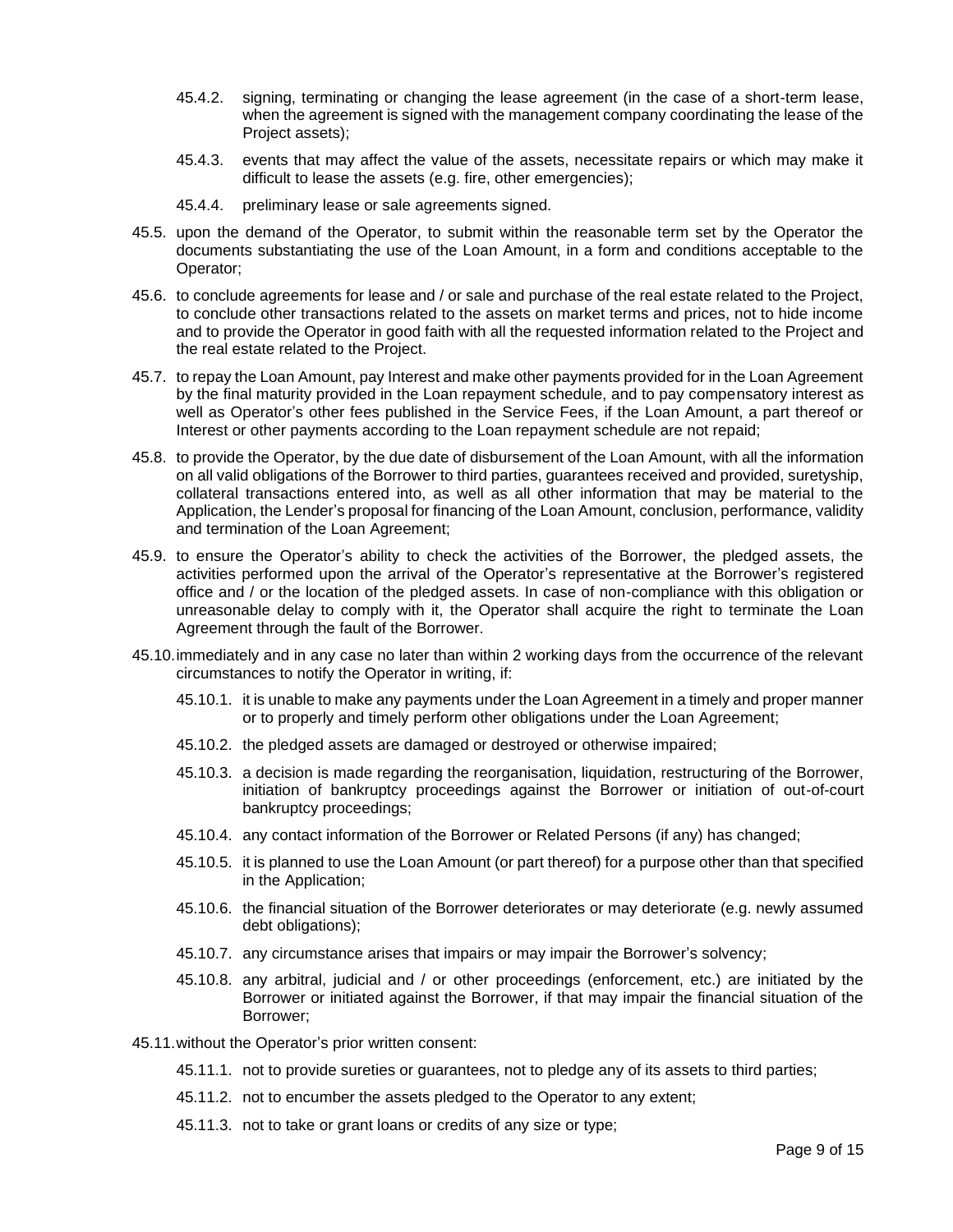- 45.4.2. signing, terminating or changing the lease agreement (in the case of a short-term lease, when the agreement is signed with the management company coordinating the lease of the Project assets);
- 45.4.3. events that may affect the value of the assets, necessitate repairs or which may make it difficult to lease the assets (e.g. fire, other emergencies);
- 45.4.4. preliminary lease or sale agreements signed.
- 45.5. upon the demand of the Operator, to submit within the reasonable term set by the Operator the documents substantiating the use of the Loan Amount, in a form and conditions acceptable to the Operator;
- <span id="page-8-1"></span>45.6. to conclude agreements for lease and / or sale and purchase of the real estate related to the Project, to conclude other transactions related to the assets on market terms and prices, not to hide income and to provide the Operator in good faith with all the requested information related to the Project and the real estate related to the Project.
- 45.7. to repay the Loan Amount, pay Interest and make other payments provided for in the Loan Agreement by the final maturity provided in the Loan repayment schedule, and to pay compensatory interest as well as Operator's other fees published in the Service Fees, if the Loan Amount, a part thereof or Interest or other payments according to the Loan repayment schedule are not repaid;
- 45.8. to provide the Operator, by the due date of disbursement of the Loan Amount, with all the information on all valid obligations of the Borrower to third parties, guarantees received and provided, suretyship, collateral transactions entered into, as well as all other information that may be material to the Application, the Lender's proposal for financing of the Loan Amount, conclusion, performance, validity and termination of the Loan Agreement;
- 45.9. to ensure the Operator's ability to check the activities of the Borrower, the pledged assets, the activities performed upon the arrival of the Operator's representative at the Borrower's registered office and / or the location of the pledged assets. In case of non-compliance with this obligation or unreasonable delay to comply with it, the Operator shall acquire the right to terminate the Loan Agreement through the fault of the Borrower.
- 45.10.immediately and in any case no later than within 2 working days from the occurrence of the relevant circumstances to notify the Operator in writing, if:
	- 45.10.1. it is unable to make any payments under the Loan Agreement in a timely and proper manner or to properly and timely perform other obligations under the Loan Agreement;
	- 45.10.2. the pledged assets are damaged or destroyed or otherwise impaired;
	- 45.10.3. a decision is made regarding the reorganisation, liquidation, restructuring of the Borrower, initiation of bankruptcy proceedings against the Borrower or initiation of out-of-court bankruptcy proceedings;
	- 45.10.4. any contact information of the Borrower or Related Persons (if any) has changed;
	- 45.10.5. it is planned to use the Loan Amount (or part thereof) for a purpose other than that specified in the Application;
	- 45.10.6. the financial situation of the Borrower deteriorates or may deteriorate (e.g. newly assumed debt obligations);
	- 45.10.7. any circumstance arises that impairs or may impair the Borrower's solvency;
	- 45.10.8. any arbitral, judicial and / or other proceedings (enforcement, etc.) are initiated by the Borrower or initiated against the Borrower, if that may impair the financial situation of the Borrower;
- <span id="page-8-0"></span>45.11.without the Operator's prior written consent:
	- 45.11.1. not to provide sureties or guarantees, not to pledge any of its assets to third parties;
	- 45.11.2. not to encumber the assets pledged to the Operator to any extent;
	- 45.11.3. not to take or grant loans or credits of any size or type;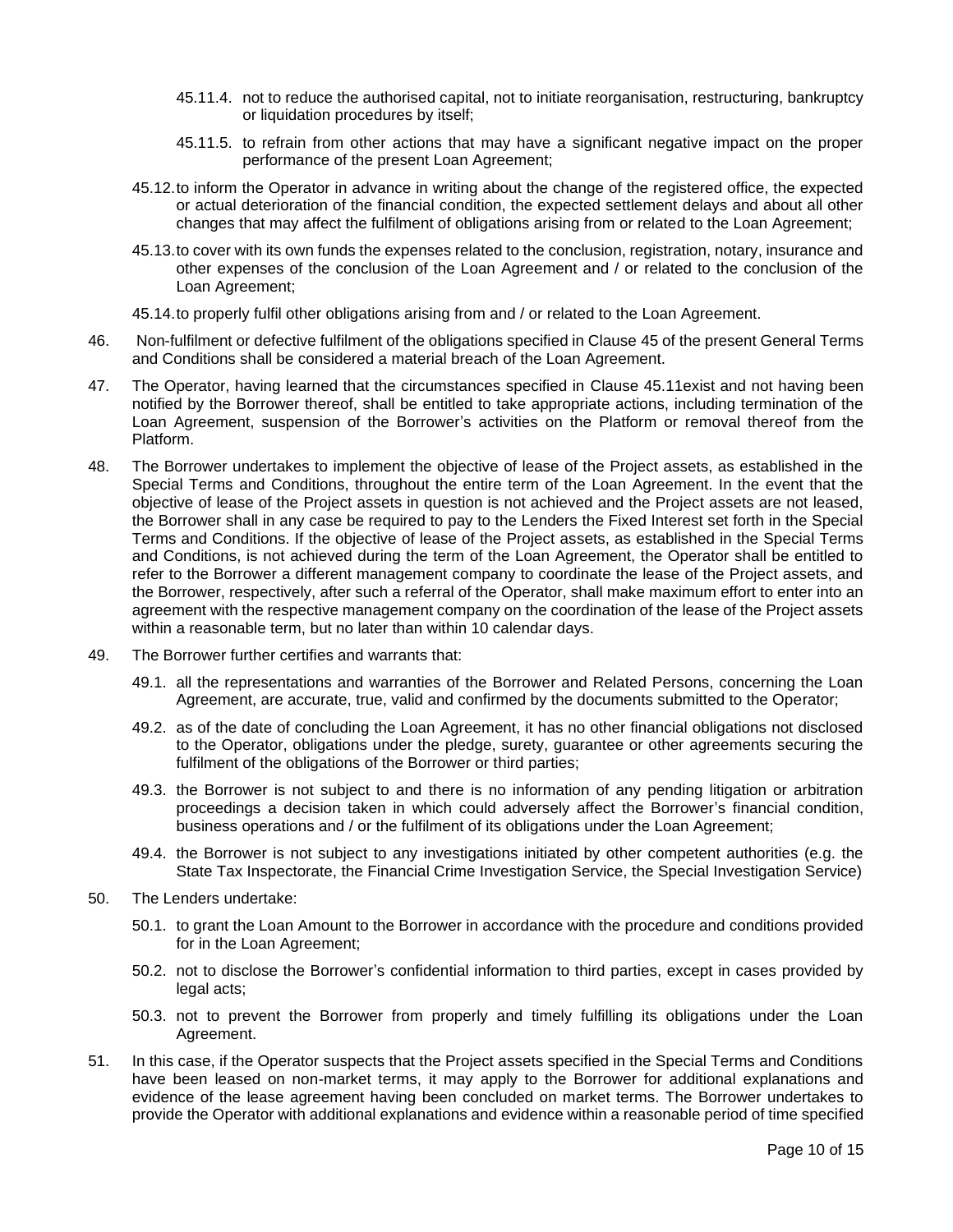- 45.11.4. not to reduce the authorised capital, not to initiate reorganisation, restructuring, bankruptcy or liquidation procedures by itself;
- 45.11.5. to refrain from other actions that may have a significant negative impact on the proper performance of the present Loan Agreement;
- 45.12.to inform the Operator in advance in writing about the change of the registered office, the expected or actual deterioration of the financial condition, the expected settlement delays and about all other changes that may affect the fulfilment of obligations arising from or related to the Loan Agreement;
- 45.13.to cover with its own funds the expenses related to the conclusion, registration, notary, insurance and other expenses of the conclusion of the Loan Agreement and / or related to the conclusion of the Loan Agreement;
- 45.14.to properly fulfil other obligations arising from and / or related to the Loan Agreement.
- 46. Non-fulfilment or defective fulfilment of the obligations specified in Clause [45](#page-7-0) of the present General Terms and Conditions shall be considered a material breach of the Loan Agreement.
- 47. The Operator, having learned that the circumstances specified in Clause [45.11e](#page-8-0)xist and not having been notified by the Borrower thereof, shall be entitled to take appropriate actions, including termination of the Loan Agreement, suspension of the Borrower's activities on the Platform or removal thereof from the Platform.
- 48. The Borrower undertakes to implement the objective of lease of the Project assets, as established in the Special Terms and Conditions, throughout the entire term of the Loan Agreement. In the event that the objective of lease of the Project assets in question is not achieved and the Project assets are not leased, the Borrower shall in any case be required to pay to the Lenders the Fixed Interest set forth in the Special Terms and Conditions. If the objective of lease of the Project assets, as established in the Special Terms and Conditions, is not achieved during the term of the Loan Agreement, the Operator shall be entitled to refer to the Borrower a different management company to coordinate the lease of the Project assets, and the Borrower, respectively, after such a referral of the Operator, shall make maximum effort to enter into an agreement with the respective management company on the coordination of the lease of the Project assets within a reasonable term, but no later than within 10 calendar days.
- <span id="page-9-0"></span>49. The Borrower further certifies and warrants that:
	- 49.1. all the representations and warranties of the Borrower and Related Persons, concerning the Loan Agreement, are accurate, true, valid and confirmed by the documents submitted to the Operator;
	- 49.2. as of the date of concluding the Loan Agreement, it has no other financial obligations not disclosed to the Operator, obligations under the pledge, surety, guarantee or other agreements securing the fulfilment of the obligations of the Borrower or third parties;
	- 49.3. the Borrower is not subject to and there is no information of any pending litigation or arbitration proceedings a decision taken in which could adversely affect the Borrower's financial condition, business operations and / or the fulfilment of its obligations under the Loan Agreement;
	- 49.4. the Borrower is not subject to any investigations initiated by other competent authorities (e.g. the State Tax Inspectorate, the Financial Crime Investigation Service, the Special Investigation Service)
- 50. The Lenders undertake:
	- 50.1. to grant the Loan Amount to the Borrower in accordance with the procedure and conditions provided for in the Loan Agreement;
	- 50.2. not to disclose the Borrower's confidential information to third parties, except in cases provided by legal acts;
	- 50.3. not to prevent the Borrower from properly and timely fulfilling its obligations under the Loan Agreement.
- 51. In this case, if the Operator suspects that the Project assets specified in the Special Terms and Conditions have been leased on non-market terms, it may apply to the Borrower for additional explanations and evidence of the lease agreement having been concluded on market terms. The Borrower undertakes to provide the Operator with additional explanations and evidence within a reasonable period of time specified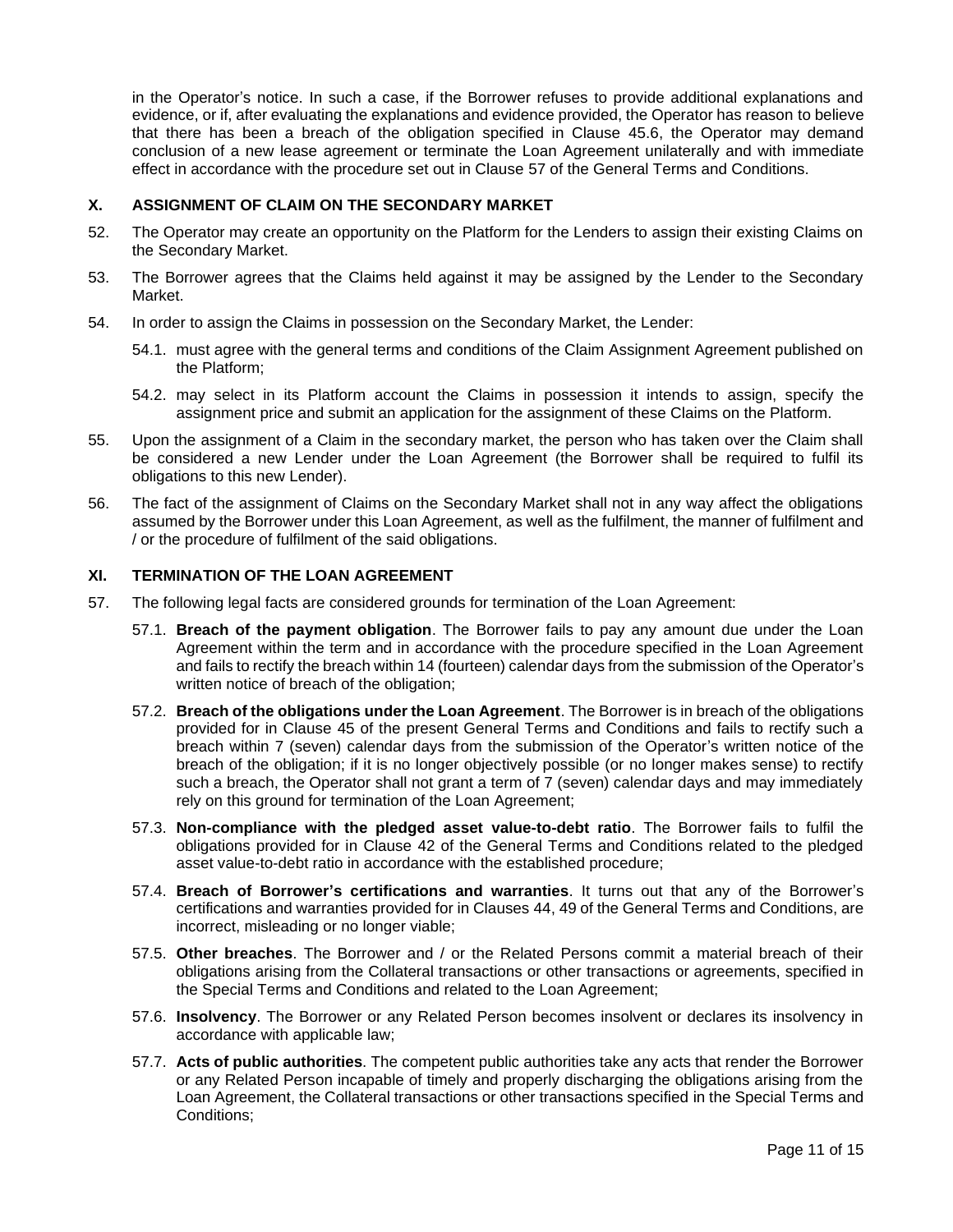in the Operator's notice. In such a case, if the Borrower refuses to provide additional explanations and evidence, or if, after evaluating the explanations and evidence provided, the Operator has reason to believe that there has been a breach of the obligation specified in Clause [45.6,](#page-8-1) the Operator may demand conclusion of a new lease agreement or terminate the Loan Agreement unilaterally and with immediate effect in accordance with the procedure set out in Clause [57](#page-10-0) of the General Terms and Conditions.

# **X. ASSIGNMENT OF CLAIM ON THE SECONDARY MARKET**

- 52. The Operator may create an opportunity on the Platform for the Lenders to assign their existing Claims on the Secondary Market.
- 53. The Borrower agrees that the Claims held against it may be assigned by the Lender to the Secondary Market.
- 54. In order to assign the Claims in possession on the Secondary Market, the Lender:
	- 54.1. must agree with the general terms and conditions of the Claim Assignment Agreement published on the Platform;
	- 54.2. may select in its Platform account the Claims in possession it intends to assign, specify the assignment price and submit an application for the assignment of these Claims on the Platform.
- 55. Upon the assignment of a Claim in the secondary market, the person who has taken over the Claim shall be considered a new Lender under the Loan Agreement (the Borrower shall be required to fulfil its obligations to this new Lender).
- 56. The fact of the assignment of Claims on the Secondary Market shall not in any way affect the obligations assumed by the Borrower under this Loan Agreement, as well as the fulfilment, the manner of fulfilment and / or the procedure of fulfilment of the said obligations.

### **XI. TERMINATION OF THE LOAN AGREEMENT**

- <span id="page-10-0"></span>57. The following legal facts are considered grounds for termination of the Loan Agreement:
	- 57.1. **Breach of the payment obligation**. The Borrower fails to pay any amount due under the Loan Agreement within the term and in accordance with the procedure specified in the Loan Agreement and fails to rectify the breach within 14 (fourteen) calendar days from the submission of the Operator's written notice of breach of the obligation;
	- 57.2. **Breach of the obligations under the Loan Agreement**. The Borrower is in breach of the obligations provided for in Clause [45](#page-7-0) of the present General Terms and Conditions and fails to rectify such a breach within 7 (seven) calendar days from the submission of the Operator's written notice of the breach of the obligation; if it is no longer objectively possible (or no longer makes sense) to rectify such a breach, the Operator shall not grant a term of 7 (seven) calendar days and may immediately rely on this ground for termination of the Loan Agreement;
	- 57.3. **Non-compliance with the pledged asset value-to-debt ratio**. The Borrower fails to fulfil the obligations provided for in Clause [42](#page-7-1) of the General Terms and Conditions related to the pledged asset value-to-debt ratio in accordance with the established procedure;
	- 57.4. **Breach of Borrower's certifications and warranties**. It turns out that any of the Borrower's certifications and warranties provided for in Clauses [44,](#page-7-2) [49](#page-9-0) of the General Terms and Conditions, are incorrect, misleading or no longer viable;
	- 57.5. **Other breaches**. The Borrower and / or the Related Persons commit a material breach of their obligations arising from the Collateral transactions or other transactions or agreements, specified in the Special Terms and Conditions and related to the Loan Agreement;
	- 57.6. **Insolvency**. The Borrower or any Related Person becomes insolvent or declares its insolvency in accordance with applicable law;
	- 57.7. **Acts of public authorities**. The competent public authorities take any acts that render the Borrower or any Related Person incapable of timely and properly discharging the obligations arising from the Loan Agreement, the Collateral transactions or other transactions specified in the Special Terms and Conditions;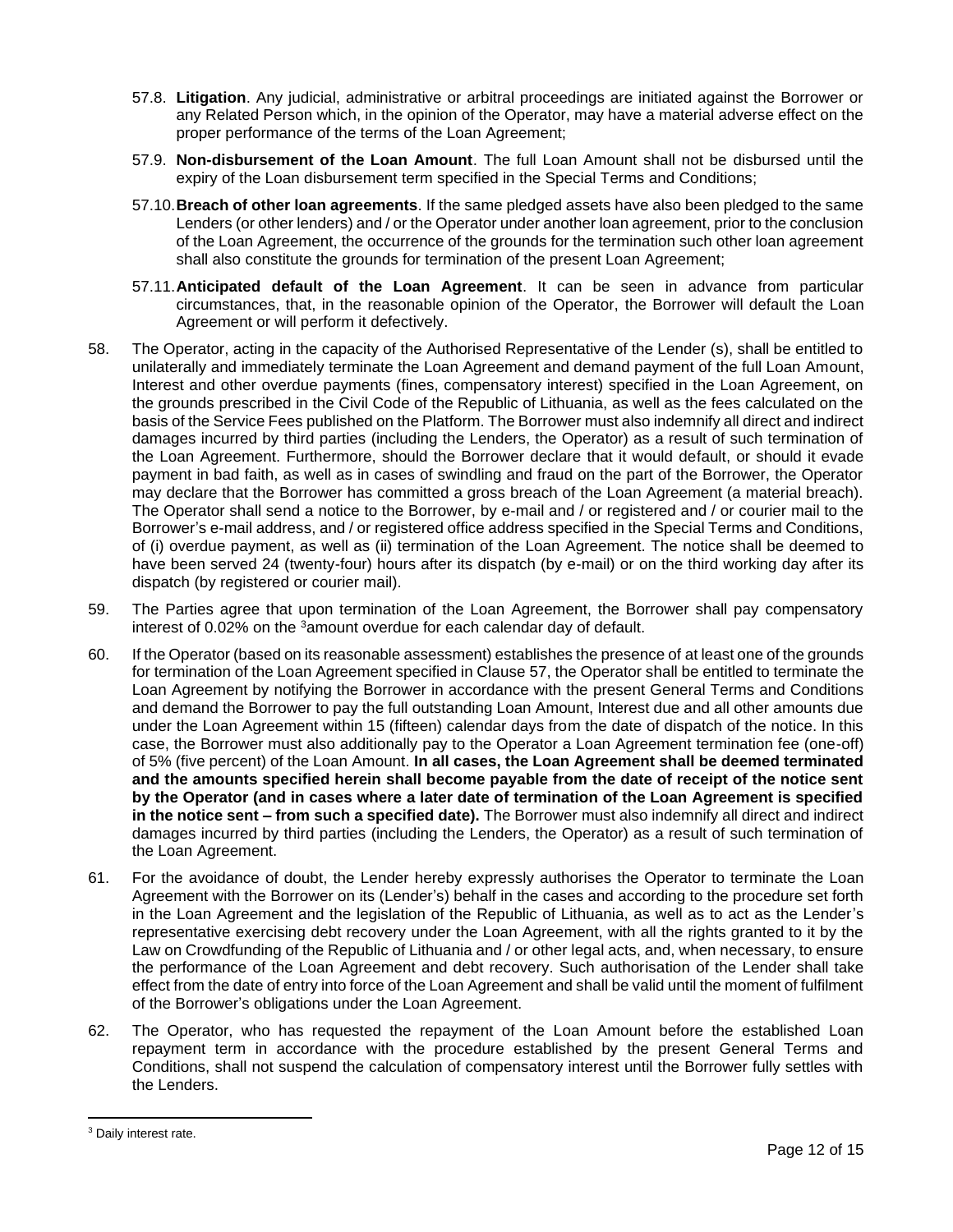- 57.8. **Litigation**. Any judicial, administrative or arbitral proceedings are initiated against the Borrower or any Related Person which, in the opinion of the Operator, may have a material adverse effect on the proper performance of the terms of the Loan Agreement;
- 57.9. **Non-disbursement of the Loan Amount**. The full Loan Amount shall not be disbursed until the expiry of the Loan disbursement term specified in the Special Terms and Conditions;
- 57.10.**Breach of other loan agreements**. If the same pledged assets have also been pledged to the same Lenders (or other lenders) and / or the Operator under another loan agreement, prior to the conclusion of the Loan Agreement, the occurrence of the grounds for the termination such other loan agreement shall also constitute the grounds for termination of the present Loan Agreement;
- 57.11.**Anticipated default of the Loan Agreement**. It can be seen in advance from particular circumstances, that, in the reasonable opinion of the Operator, the Borrower will default the Loan Agreement or will perform it defectively.
- 58. The Operator, acting in the capacity of the Authorised Representative of the Lender (s), shall be entitled to unilaterally and immediately terminate the Loan Agreement and demand payment of the full Loan Amount, Interest and other overdue payments (fines, compensatory interest) specified in the Loan Agreement, on the grounds prescribed in the Civil Code of the Republic of Lithuania, as well as the fees calculated on the basis of the Service Fees published on the Platform. The Borrower must also indemnify all direct and indirect damages incurred by third parties (including the Lenders, the Operator) as a result of such termination of the Loan Agreement. Furthermore, should the Borrower declare that it would default, or should it evade payment in bad faith, as well as in cases of swindling and fraud on the part of the Borrower, the Operator may declare that the Borrower has committed a gross breach of the Loan Agreement (a material breach). The Operator shall send a notice to the Borrower, by e-mail and / or registered and / or courier mail to the Borrower's e-mail address, and / or registered office address specified in the Special Terms and Conditions, of (i) overdue payment, as well as (ii) termination of the Loan Agreement. The notice shall be deemed to have been served 24 (twenty-four) hours after its dispatch (by e-mail) or on the third working day after its dispatch (by registered or courier mail).
- 59. The Parties agree that upon termination of the Loan Agreement, the Borrower shall pay compensatory interest of 0.02% on the <sup>3</sup>amount overdue for each calendar day of default.
- 60. If the Operator (based on its reasonable assessment) establishes the presence of at least one of the grounds for termination of the Loan Agreement specified in Clause [57,](#page-10-0) the Operator shall be entitled to terminate the Loan Agreement by notifying the Borrower in accordance with the present General Terms and Conditions and demand the Borrower to pay the full outstanding Loan Amount, Interest due and all other amounts due under the Loan Agreement within 15 (fifteen) calendar days from the date of dispatch of the notice. In this case, the Borrower must also additionally pay to the Operator a Loan Agreement termination fee (one-off) of 5% (five percent) of the Loan Amount. **In all cases, the Loan Agreement shall be deemed terminated and the amounts specified herein shall become payable from the date of receipt of the notice sent by the Operator (and in cases where a later date of termination of the Loan Agreement is specified in the notice sent – from such a specified date).** The Borrower must also indemnify all direct and indirect damages incurred by third parties (including the Lenders, the Operator) as a result of such termination of the Loan Agreement.
- 61. For the avoidance of doubt, the Lender hereby expressly authorises the Operator to terminate the Loan Agreement with the Borrower on its (Lender's) behalf in the cases and according to the procedure set forth in the Loan Agreement and the legislation of the Republic of Lithuania, as well as to act as the Lender's representative exercising debt recovery under the Loan Agreement, with all the rights granted to it by the Law on Crowdfunding of the Republic of Lithuania and / or other legal acts, and, when necessary, to ensure the performance of the Loan Agreement and debt recovery. Such authorisation of the Lender shall take effect from the date of entry into force of the Loan Agreement and shall be valid until the moment of fulfilment of the Borrower's obligations under the Loan Agreement.
- 62. The Operator, who has requested the repayment of the Loan Amount before the established Loan repayment term in accordance with the procedure established by the present General Terms and Conditions, shall not suspend the calculation of compensatory interest until the Borrower fully settles with the Lenders.

<sup>&</sup>lt;sup>3</sup> Daily interest rate.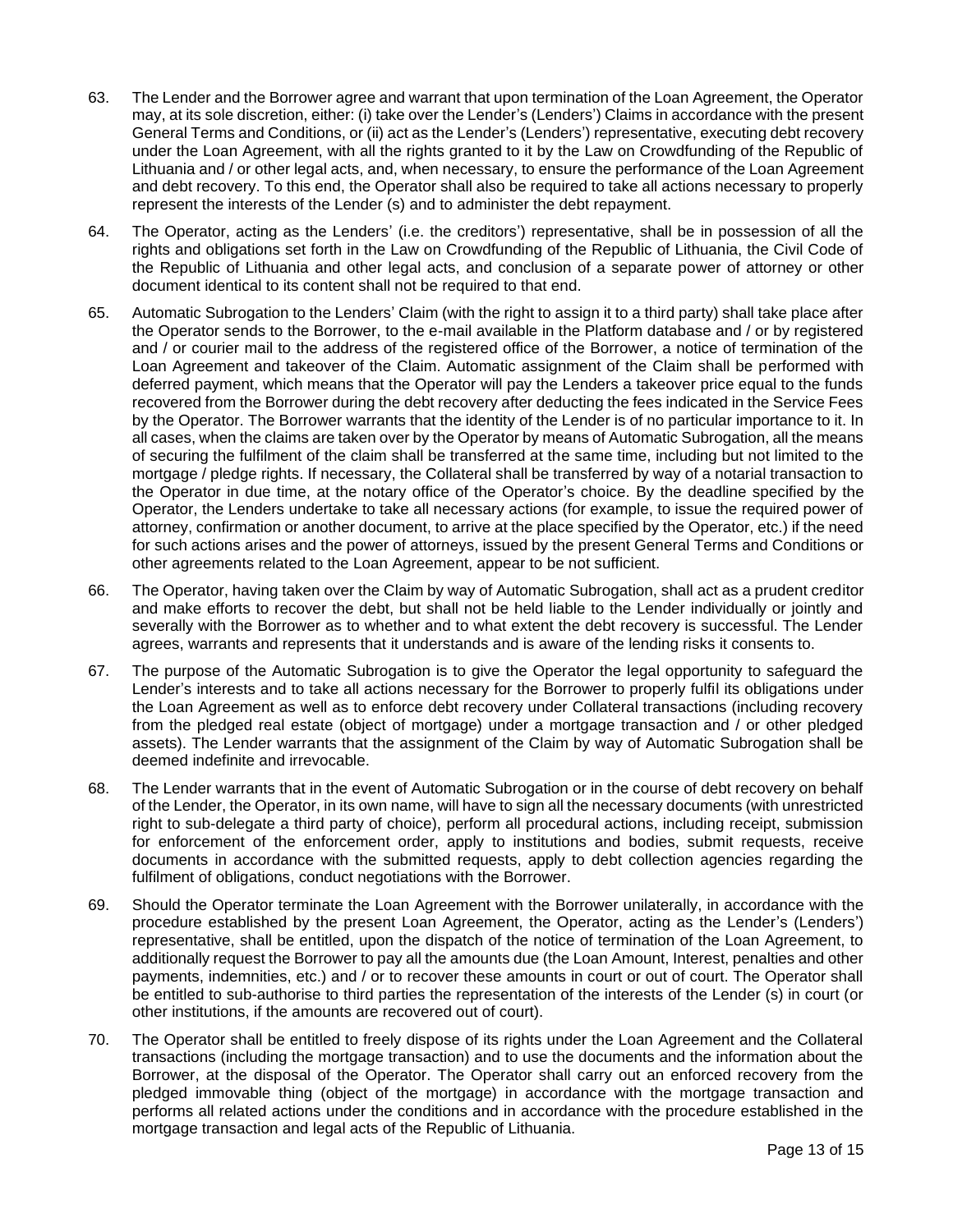- 63. The Lender and the Borrower agree and warrant that upon termination of the Loan Agreement, the Operator may, at its sole discretion, either: (i) take over the Lender's (Lenders') Claims in accordance with the present General Terms and Conditions, or (ii) act as the Lender's (Lenders') representative, executing debt recovery under the Loan Agreement, with all the rights granted to it by the Law on Crowdfunding of the Republic of Lithuania and / or other legal acts, and, when necessary, to ensure the performance of the Loan Agreement and debt recovery. To this end, the Operator shall also be required to take all actions necessary to properly represent the interests of the Lender (s) and to administer the debt repayment.
- 64. The Operator, acting as the Lenders' (i.e. the creditors') representative, shall be in possession of all the rights and obligations set forth in the Law on Crowdfunding of the Republic of Lithuania, the Civil Code of the Republic of Lithuania and other legal acts, and conclusion of a separate power of attorney or other document identical to its content shall not be required to that end.
- 65. Automatic Subrogation to the Lenders' Claim (with the right to assign it to a third party) shall take place after the Operator sends to the Borrower, to the e-mail available in the Platform database and / or by registered and / or courier mail to the address of the registered office of the Borrower, a notice of termination of the Loan Agreement and takeover of the Claim. Automatic assignment of the Claim shall be performed with deferred payment, which means that the Operator will pay the Lenders a takeover price equal to the funds recovered from the Borrower during the debt recovery after deducting the fees indicated in the Service Fees by the Operator. The Borrower warrants that the identity of the Lender is of no particular importance to it. In all cases, when the claims are taken over by the Operator by means of Automatic Subrogation, all the means of securing the fulfilment of the claim shall be transferred at the same time, including but not limited to the mortgage / pledge rights. If necessary, the Collateral shall be transferred by way of a notarial transaction to the Operator in due time, at the notary office of the Operator's choice. By the deadline specified by the Operator, the Lenders undertake to take all necessary actions (for example, to issue the required power of attorney, confirmation or another document, to arrive at the place specified by the Operator, etc.) if the need for such actions arises and the power of attorneys, issued by the present General Terms and Conditions or other agreements related to the Loan Agreement, appear to be not sufficient.
- 66. The Operator, having taken over the Claim by way of Automatic Subrogation, shall act as a prudent creditor and make efforts to recover the debt, but shall not be held liable to the Lender individually or jointly and severally with the Borrower as to whether and to what extent the debt recovery is successful. The Lender agrees, warrants and represents that it understands and is aware of the lending risks it consents to.
- 67. The purpose of the Automatic Subrogation is to give the Operator the legal opportunity to safeguard the Lender's interests and to take all actions necessary for the Borrower to properly fulfil its obligations under the Loan Agreement as well as to enforce debt recovery under Collateral transactions (including recovery from the pledged real estate (object of mortgage) under a mortgage transaction and / or other pledged assets). The Lender warrants that the assignment of the Claim by way of Automatic Subrogation shall be deemed indefinite and irrevocable.
- 68. The Lender warrants that in the event of Automatic Subrogation or in the course of debt recovery on behalf of the Lender, the Operator, in its own name, will have to sign all the necessary documents (with unrestricted right to sub-delegate a third party of choice), perform all procedural actions, including receipt, submission for enforcement of the enforcement order, apply to institutions and bodies, submit requests, receive documents in accordance with the submitted requests, apply to debt collection agencies regarding the fulfilment of obligations, conduct negotiations with the Borrower.
- 69. Should the Operator terminate the Loan Agreement with the Borrower unilaterally, in accordance with the procedure established by the present Loan Agreement, the Operator, acting as the Lender's (Lenders') representative, shall be entitled, upon the dispatch of the notice of termination of the Loan Agreement, to additionally request the Borrower to pay all the amounts due (the Loan Amount, Interest, penalties and other payments, indemnities, etc.) and / or to recover these amounts in court or out of court. The Operator shall be entitled to sub-authorise to third parties the representation of the interests of the Lender (s) in court (or other institutions, if the amounts are recovered out of court).
- 70. The Operator shall be entitled to freely dispose of its rights under the Loan Agreement and the Collateral transactions (including the mortgage transaction) and to use the documents and the information about the Borrower, at the disposal of the Operator. The Operator shall carry out an enforced recovery from the pledged immovable thing (object of the mortgage) in accordance with the mortgage transaction and performs all related actions under the conditions and in accordance with the procedure established in the mortgage transaction and legal acts of the Republic of Lithuania.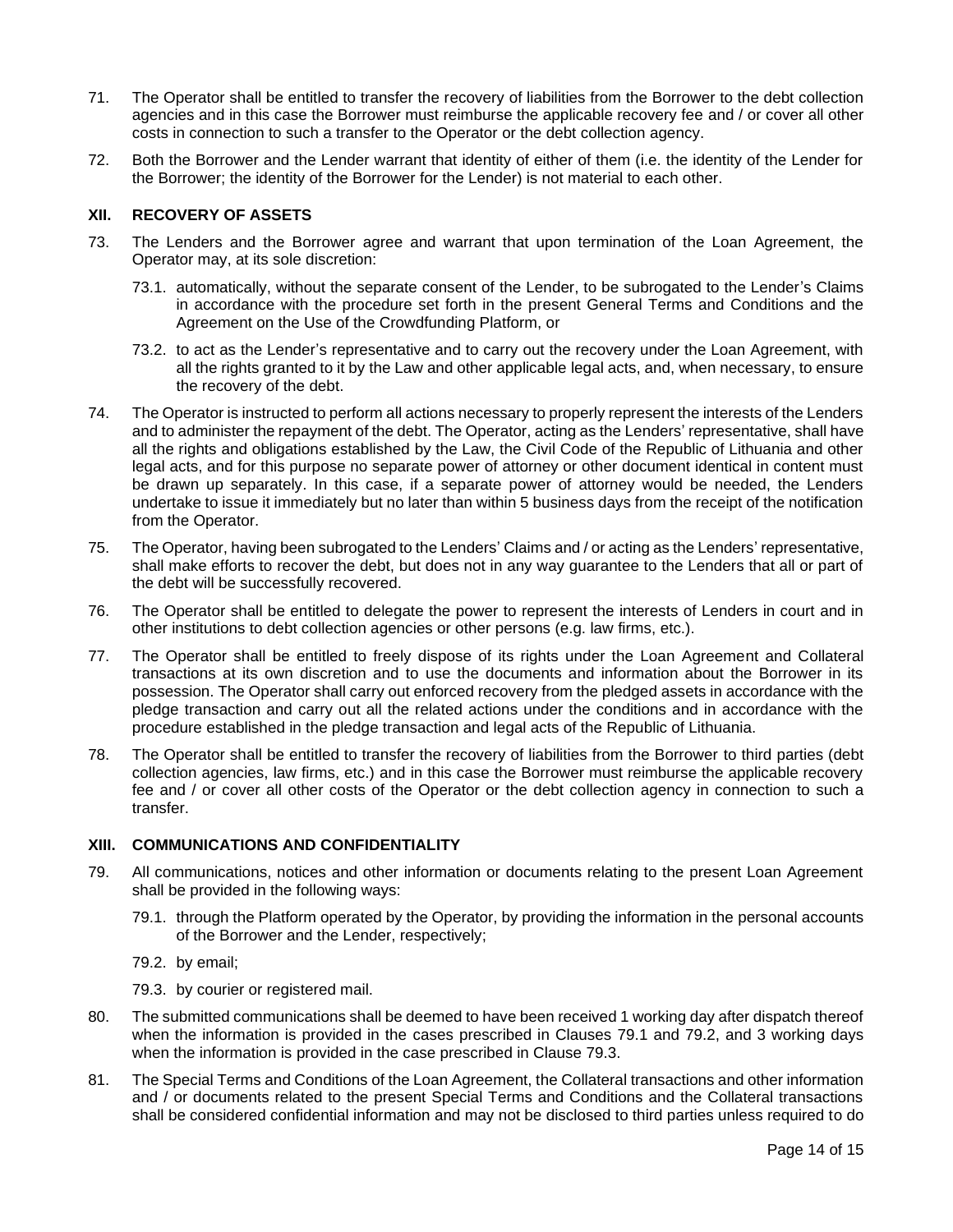- 71. The Operator shall be entitled to transfer the recovery of liabilities from the Borrower to the debt collection agencies and in this case the Borrower must reimburse the applicable recovery fee and / or cover all other costs in connection to such a transfer to the Operator or the debt collection agency.
- 72. Both the Borrower and the Lender warrant that identity of either of them (i.e. the identity of the Lender for the Borrower; the identity of the Borrower for the Lender) is not material to each other.

## **XII. RECOVERY OF ASSETS**

- 73. The Lenders and the Borrower agree and warrant that upon termination of the Loan Agreement, the Operator may, at its sole discretion:
	- 73.1. automatically, without the separate consent of the Lender, to be subrogated to the Lender's Claims in accordance with the procedure set forth in the present General Terms and Conditions and the Agreement on the Use of the Crowdfunding Platform, or
	- 73.2. to act as the Lender's representative and to carry out the recovery under the Loan Agreement, with all the rights granted to it by the Law and other applicable legal acts, and, when necessary, to ensure the recovery of the debt.
- 74. The Operator is instructed to perform all actions necessary to properly represent the interests of the Lenders and to administer the repayment of the debt. The Operator, acting as the Lenders' representative, shall have all the rights and obligations established by the Law, the Civil Code of the Republic of Lithuania and other legal acts, and for this purpose no separate power of attorney or other document identical in content must be drawn up separately. In this case, if a separate power of attorney would be needed, the Lenders undertake to issue it immediately but no later than within 5 business days from the receipt of the notification from the Operator.
- 75. The Operator, having been subrogated to the Lenders' Claims and / or acting as the Lenders' representative, shall make efforts to recover the debt, but does not in any way guarantee to the Lenders that all or part of the debt will be successfully recovered.
- 76. The Operator shall be entitled to delegate the power to represent the interests of Lenders in court and in other institutions to debt collection agencies or other persons (e.g. law firms, etc.).
- 77. The Operator shall be entitled to freely dispose of its rights under the Loan Agreement and Collateral transactions at its own discretion and to use the documents and information about the Borrower in its possession. The Operator shall carry out enforced recovery from the pledged assets in accordance with the pledge transaction and carry out all the related actions under the conditions and in accordance with the procedure established in the pledge transaction and legal acts of the Republic of Lithuania.
- 78. The Operator shall be entitled to transfer the recovery of liabilities from the Borrower to third parties (debt collection agencies, law firms, etc.) and in this case the Borrower must reimburse the applicable recovery fee and / or cover all other costs of the Operator or the debt collection agency in connection to such a transfer.

#### **XIII. COMMUNICATIONS AND CONFIDENTIALITY**

- <span id="page-13-3"></span><span id="page-13-0"></span>79. All communications, notices and other information or documents relating to the present Loan Agreement shall be provided in the following ways:
	- 79.1. through the Platform operated by the Operator, by providing the information in the personal accounts of the Borrower and the Lender, respectively;
	- 79.2. by email;
	- 79.3. by courier or registered mail.
- <span id="page-13-2"></span><span id="page-13-1"></span>80. The submitted communications shall be deemed to have been received 1 working day after dispatch thereof when the information is provided in the cases prescribed in Clauses [79.1](#page-13-0) and [79.2,](#page-13-1) and 3 working days when the information is provided in the case prescribed in Clause [79.3.](#page-13-2)
- 81. The Special Terms and Conditions of the Loan Agreement, the Collateral transactions and other information and / or documents related to the present Special Terms and Conditions and the Collateral transactions shall be considered confidential information and may not be disclosed to third parties unless required to do